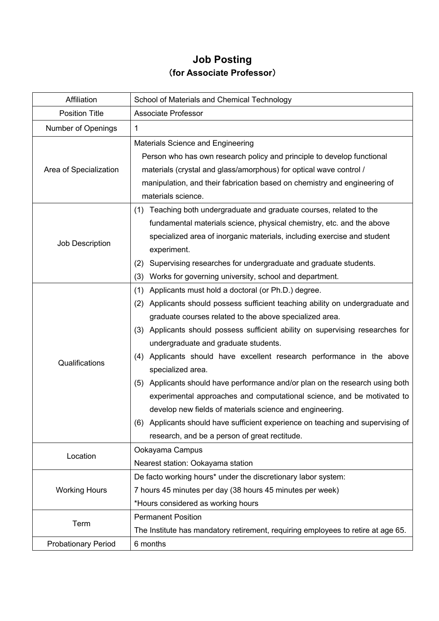## **Job Posting** (**for Associate Professor**)

| Affiliation                | School of Materials and Chemical Technology                                      |
|----------------------------|----------------------------------------------------------------------------------|
| <b>Position Title</b>      | <b>Associate Professor</b>                                                       |
| Number of Openings         | 1                                                                                |
|                            | Materials Science and Engineering                                                |
| Area of Specialization     | Person who has own research policy and principle to develop functional           |
|                            | materials (crystal and glass/amorphous) for optical wave control /               |
|                            | manipulation, and their fabrication based on chemistry and engineering of        |
|                            | materials science.                                                               |
|                            | Teaching both undergraduate and graduate courses, related to the<br>(1)          |
|                            | fundamental materials science, physical chemistry, etc. and the above            |
|                            | specialized area of inorganic materials, including exercise and student          |
| Job Description            | experiment.                                                                      |
|                            | Supervising researches for undergraduate and graduate students.<br>(2)           |
|                            | Works for governing university, school and department.<br>(3)                    |
|                            | (1) Applicants must hold a doctoral (or Ph.D.) degree.                           |
|                            | (2) Applicants should possess sufficient teaching ability on undergraduate and   |
|                            | graduate courses related to the above specialized area.                          |
|                            | (3) Applicants should possess sufficient ability on supervising researches for   |
|                            | undergraduate and graduate students.                                             |
|                            | (4) Applicants should have excellent research performance in the above           |
| Qualifications             | specialized area.                                                                |
|                            | (5) Applicants should have performance and/or plan on the research using both    |
|                            | experimental approaches and computational science, and be motivated to           |
|                            | develop new fields of materials science and engineering.                         |
|                            | (6) Applicants should have sufficient experience on teaching and supervising of  |
|                            | research, and be a person of great rectitude.                                    |
|                            | Ookayama Campus                                                                  |
| Location                   | Nearest station: Ookayama station                                                |
| <b>Working Hours</b>       | De facto working hours* under the discretionary labor system:                    |
|                            | 7 hours 45 minutes per day (38 hours 45 minutes per week)                        |
|                            | *Hours considered as working hours                                               |
| Term                       | <b>Permanent Position</b>                                                        |
|                            | The Institute has mandatory retirement, requiring employees to retire at age 65. |
| <b>Probationary Period</b> | 6 months                                                                         |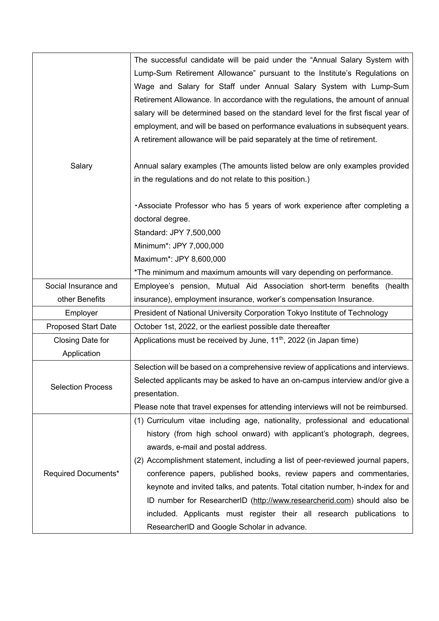|                            | The successful candidate will be paid under the "Annual Salary System with         |
|----------------------------|------------------------------------------------------------------------------------|
|                            | Lump-Sum Retirement Allowance" pursuant to the Institute's Regulations on          |
|                            | Wage and Salary for Staff under Annual Salary System with Lump-Sum                 |
|                            | Retirement Allowance. In accordance with the regulations, the amount of annual     |
|                            | salary will be determined based on the standard level for the first fiscal year of |
|                            | employment, and will be based on performance evaluations in subsequent years.      |
|                            | A retirement allowance will be paid separately at the time of retirement.          |
|                            |                                                                                    |
| Salary                     | Annual salary examples (The amounts listed below are only examples provided        |
|                            | in the regulations and do not relate to this position.)                            |
|                            |                                                                                    |
|                            | . Associate Professor who has 5 years of work experience after completing a        |
|                            | doctoral degree.                                                                   |
|                            | Standard: JPY 7,500,000                                                            |
|                            | Minimum*: JPY 7,000,000                                                            |
|                            | Maximum*: JPY 8,600,000                                                            |
|                            | *The minimum and maximum amounts will vary depending on performance.               |
| Social Insurance and       | Employee's pension, Mutual Aid Association short-term benefits (health             |
| other Benefits             | insurance), employment insurance, worker's compensation Insurance.                 |
| Employer                   | President of National University Corporation Tokyo Institute of Technology         |
| <b>Proposed Start Date</b> | October 1st, 2022, or the earliest possible date thereafter                        |
| Closing Date for           | Applications must be received by June, 11 <sup>th</sup> , 2022 (in Japan time)     |
| Application                |                                                                                    |
|                            | Selection will be based on a comprehensive review of applications and interviews.  |
|                            | Selected applicants may be asked to have an on-campus interview and/or give a      |
| <b>Selection Process</b>   | presentation.                                                                      |
|                            | Please note that travel expenses for attending interviews will not be reimbursed.  |
| Required Documents*        | (1) Curriculum vitae including age, nationality, professional and educational      |
|                            | history (from high school onward) with applicant's photograph, degrees,            |
|                            | awards, e-mail and postal address.                                                 |
|                            | (2) Accomplishment statement, including a list of peer-reviewed journal papers,    |
|                            | conference papers, published books, review papers and commentaries,                |
|                            | keynote and invited talks, and patents. Total citation number, h-index for and     |
|                            | ID number for ResearcherID (http://www.researcherid.com) should also be            |
|                            | included. Applicants must register their all research publications to              |
|                            | ResearcherID and Google Scholar in advance.                                        |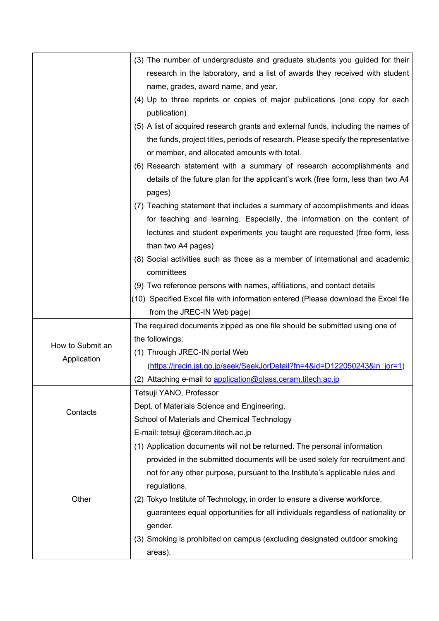|                  | (3) The number of undergraduate and graduate students you guided for their                 |
|------------------|--------------------------------------------------------------------------------------------|
|                  | research in the laboratory, and a list of awards they received with student                |
|                  | name, grades, award name, and year.                                                        |
|                  | (4) Up to three reprints or copies of major publications (one copy for each                |
|                  | publication)                                                                               |
|                  | (5) A list of acquired research grants and external funds, including the names of          |
|                  | the funds, project titles, periods of research. Please specify the representative          |
|                  | or member, and allocated amounts with total.                                               |
|                  | (6) Research statement with a summary of research accomplishments and                      |
|                  | details of the future plan for the applicant's work (free form, less than two A4<br>pages) |
|                  | (7) Teaching statement that includes a summary of accomplishments and ideas                |
|                  | for teaching and learning. Especially, the information on the content of                   |
|                  | lectures and student experiments you taught are requested (free form, less                 |
|                  | than two A4 pages)                                                                         |
|                  | (8) Social activities such as those as a member of international and academic              |
|                  | committees                                                                                 |
|                  | (9) Two reference persons with names, affiliations, and contact details                    |
|                  | (10) Specified Excel file with information entered (Please download the Excel file         |
|                  | from the JREC-IN Web page)                                                                 |
|                  | The required documents zipped as one file should be submitted using one of                 |
|                  | the followings;                                                                            |
| How to Submit an | (1) Through JREC-IN portal Web                                                             |
| Application      | (https://jrecin.jst.go.jp/seek/SeekJorDetail?fn=4&id=D122050243&ln_jor=1)                  |
|                  | (2) Attaching e-mail to application@glass.ceram.titech.ac.jp                               |
|                  | Tetsuji YANO, Professor                                                                    |
|                  | Dept. of Materials Science and Engineering,                                                |
| Contacts         | School of Materials and Chemical Technology                                                |
|                  | E-mail: tetsuji @ceram.titech.ac.jp                                                        |
| Other            | (1) Application documents will not be returned. The personal information                   |
|                  | provided in the submitted documents will be used solely for recruitment and                |
|                  | not for any other purpose, pursuant to the Institute's applicable rules and                |
|                  | regulations.                                                                               |
|                  | (2) Tokyo Institute of Technology, in order to ensure a diverse workforce,                 |
|                  | guarantees equal opportunities for all individuals regardless of nationality or            |
|                  | gender.                                                                                    |
|                  | (3) Smoking is prohibited on campus (excluding designated outdoor smoking                  |
|                  | areas).                                                                                    |